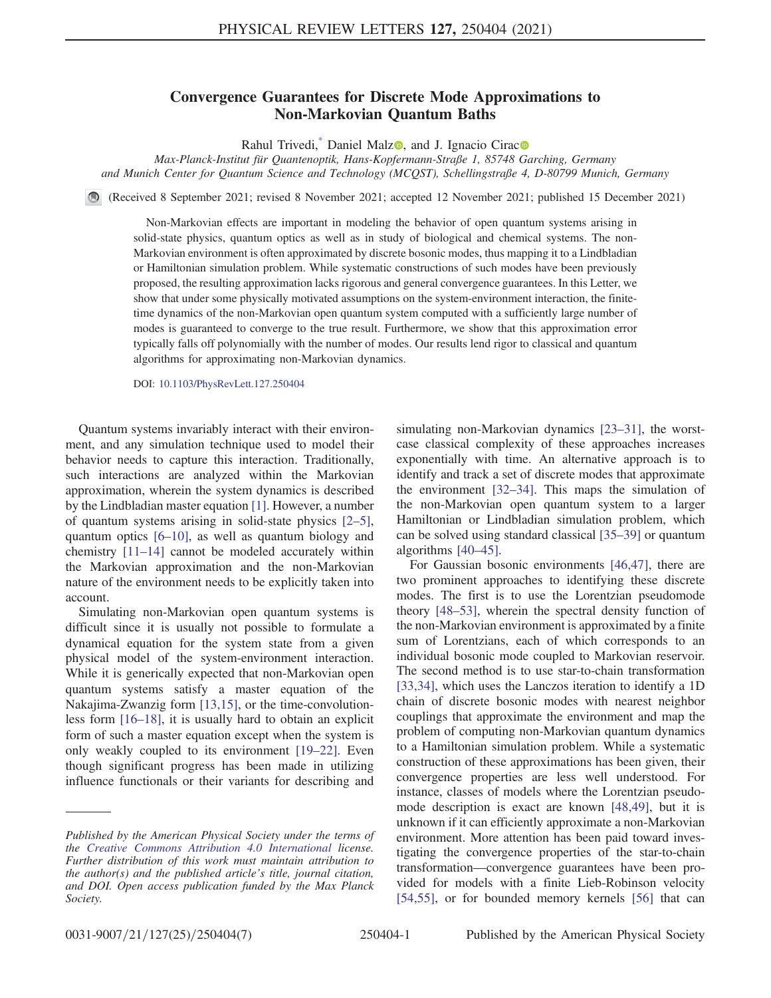## Convergence Guarantees for Discrete Mode Approximations to Non-Markovian Quantum Baths

Rahul Trivedi,<sup>[\\*](#page-4-0)</sup> Daniel Malz<sup>o</sup>, and J. Ignacio Cirac<sup>o</sup>

<span id="page-0-0"></span>Max-Planck-Institut für Quantenoptik, Hans-Kopfermann-Straße 1, 85748 Garching, Germany and Munich Center for Quantum Science and Technology (MCQST), Schellingstraße 4, D-80799 Munich, Germany

(Received 8 September 2021; revised 8 November 2021; accepted 12 November 2021; published 15 December 2021)

Non-Markovian effects are important in modeling the behavior of open quantum systems arising in solid-state physics, quantum optics as well as in study of biological and chemical systems. The non-Markovian environment is often approximated by discrete bosonic modes, thus mapping it to a Lindbladian or Hamiltonian simulation problem. While systematic constructions of such modes have been previously proposed, the resulting approximation lacks rigorous and general convergence guarantees. In this Letter, we show that under some physically motivated assumptions on the system-environment interaction, the finitetime dynamics of the non-Markovian open quantum system computed with a sufficiently large number of modes is guaranteed to converge to the true result. Furthermore, we show that this approximation error typically falls off polynomially with the number of modes. Our results lend rigor to classical and quantum algorithms for approximating non-Markovian dynamics.

DOI: [10.1103/PhysRevLett.127.250404](https://doi.org/10.1103/PhysRevLett.127.250404)

Quantum systems invariably interact with their environment, and any simulation technique used to model their behavior needs to capture this interaction. Traditionally, such interactions are analyzed within the Markovian approximation, wherein the system dynamics is described by the Lindbladian master equation [\[1](#page-4-1)]. However, a number of quantum systems arising in solid-state physics [\[2](#page-4-2)–[5](#page-4-3)], quantum optics [\[6](#page-4-4)–[10](#page-4-5)], as well as quantum biology and chemistry [\[11](#page-4-6)–[14](#page-4-7)] cannot be modeled accurately within the Markovian approximation and the non-Markovian nature of the environment needs to be explicitly taken into account.

Simulating non-Markovian open quantum systems is difficult since it is usually not possible to formulate a dynamical equation for the system state from a given physical model of the system-environment interaction. While it is generically expected that non-Markovian open quantum systems satisfy a master equation of the Nakajima-Zwanzig form [\[13](#page-4-8)[,15\]](#page-4-9), or the time-convolutionless form [[16](#page-4-10)–[18\]](#page-4-11), it is usually hard to obtain an explicit form of such a master equation except when the system is only weakly coupled to its environment [\[19](#page-5-0)–[22\]](#page-5-1). Even though significant progress has been made in utilizing influence functionals or their variants for describing and simulating non-Markovian dynamics [\[23](#page-5-2)–[31](#page-5-3)], the worstcase classical complexity of these approaches increases exponentially with time. An alternative approach is to identify and track a set of discrete modes that approximate the environment [\[32](#page-5-4)–[34\]](#page-5-5). This maps the simulation of the non-Markovian open quantum system to a larger Hamiltonian or Lindbladian simulation problem, which can be solved using standard classical [[35](#page-5-6)–[39\]](#page-5-7) or quantum algorithms [\[40](#page-5-8)–[45\]](#page-5-9).

For Gaussian bosonic environments [\[46,](#page-5-10)[47\]](#page-5-11), there are two prominent approaches to identifying these discrete modes. The first is to use the Lorentzian pseudomode theory [\[48](#page-5-12)–[53\]](#page-5-13), wherein the spectral density function of the non-Markovian environment is approximated by a finite sum of Lorentzians, each of which corresponds to an individual bosonic mode coupled to Markovian reservoir. The second method is to use star-to-chain transformation [\[33](#page-5-14)[,34\]](#page-5-5), which uses the Lanczos iteration to identify a 1D chain of discrete bosonic modes with nearest neighbor couplings that approximate the environment and map the problem of computing non-Markovian quantum dynamics to a Hamiltonian simulation problem. While a systematic construction of these approximations has been given, their convergence properties are less well understood. For instance, classes of models where the Lorentzian pseudomode description is exact are known [[48](#page-5-12),[49](#page-5-15)], but it is unknown if it can efficiently approximate a non-Markovian environment. More attention has been paid toward investigating the convergence properties of the star-to-chain transformation—convergence guarantees have been provided for models with a finite Lieb-Robinson velocity [\[54](#page-5-16)[,55\]](#page-5-17), or for bounded memory kernels [\[56\]](#page-5-18) that can

Published by the American Physical Society under the terms of the [Creative Commons Attribution 4.0 International](https://creativecommons.org/licenses/by/4.0/) license. Further distribution of this work must maintain attribution to the author(s) and the published article's title, journal citation, and DOI. Open access publication funded by the Max Planck Society.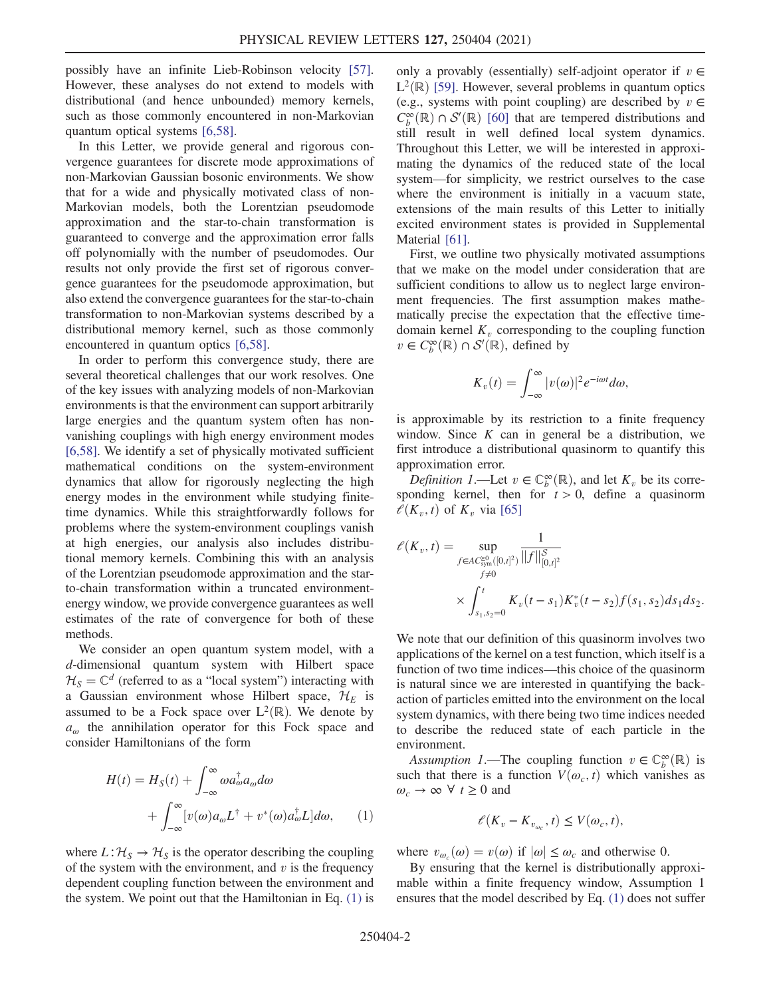possibly have an infinite Lieb-Robinson velocity [[57](#page-5-19)]. However, these analyses do not extend to models with distributional (and hence unbounded) memory kernels, such as those commonly encountered in non-Markovian quantum optical systems [[6](#page-4-4),[58](#page-5-20)].

In this Letter, we provide general and rigorous convergence guarantees for discrete mode approximations of non-Markovian Gaussian bosonic environments. We show that for a wide and physically motivated class of non-Markovian models, both the Lorentzian pseudomode approximation and the star-to-chain transformation is guaranteed to converge and the approximation error falls off polynomially with the number of pseudomodes. Our results not only provide the first set of rigorous convergence guarantees for the pseudomode approximation, but also extend the convergence guarantees for the star-to-chain transformation to non-Markovian systems described by a distributional memory kernel, such as those commonly encountered in quantum optics [\[6](#page-4-4)[,58\]](#page-5-20).

In order to perform this convergence study, there are several theoretical challenges that our work resolves. One of the key issues with analyzing models of non-Markovian environments is that the environment can support arbitrarily large energies and the quantum system often has nonvanishing couplings with high energy environment modes [\[6,](#page-4-4)[58\]](#page-5-20). We identify a set of physically motivated sufficient mathematical conditions on the system-environment dynamics that allow for rigorously neglecting the high energy modes in the environment while studying finitetime dynamics. While this straightforwardly follows for problems where the system-environment couplings vanish at high energies, our analysis also includes distributional memory kernels. Combining this with an analysis of the Lorentzian pseudomode approximation and the starto-chain transformation within a truncated environmentenergy window, we provide convergence guarantees as well estimates of the rate of convergence for both of these methods.

We consider an open quantum system model, with a d-dimensional quantum system with Hilbert space  $\mathcal{H}_S = \mathbb{C}^d$  (referred to as a "local system") interacting with a Gaussian environment whose Hilbert space,  $\mathcal{H}_E$  is assumed to be a Fock space over  $L^2(\mathbb{R})$ . We denote by  $a_{\omega}$  the annihilation operator for this Fock space and consider Hamiltonians of the form

<span id="page-1-0"></span>
$$
H(t) = H_S(t) + \int_{-\infty}^{\infty} \omega a_{\omega}^{\dagger} a_{\omega} d\omega
$$
  
+ 
$$
\int_{-\infty}^{\infty} [v(\omega) a_{\omega} L^{\dagger} + v^*(\omega) a_{\omega}^{\dagger} L] d\omega, \qquad (1)
$$

where  $L: \mathcal{H}_S \to \mathcal{H}_S$  is the operator describing the coupling of the system with the environment, and  $v$  is the frequency dependent coupling function between the environment and the system. We point out that the Hamiltonian in Eq. [\(1\)](#page-1-0) is only a provably (essentially) self-adjoint operator if  $v \in$  $L^2(\mathbb{R})$  [[59](#page-5-21)]. However, several problems in quantum optics (e.g., systems with point coupling) are described by  $v \in$  $C_{\mathcal{P}}^{\infty}(\mathbb{R}) \cap \mathcal{S}'(\mathbb{R})$  [[60\]](#page-5-22) that are tempered distributions and<br>still result in well defined local system dynamics still result in well defined local system dynamics. Throughout this Letter, we will be interested in approximating the dynamics of the reduced state of the local system—for simplicity, we restrict ourselves to the case where the environment is initially in a vacuum state, extensions of the main results of this Letter to initially excited environment states is provided in Supplemental Material [\[61](#page-5-23)].

First, we outline two physically motivated assumptions that we make on the model under consideration that are sufficient conditions to allow us to neglect large environment frequencies. The first assumption makes mathematically precise the expectation that the effective timedomain kernel  $K_v$  corresponding to the coupling function  $v \in C_b^{\infty}(\mathbb{R}) \cap S'(\mathbb{R})$ , defined by

$$
K_v(t) = \int_{-\infty}^{\infty} |v(\omega)|^2 e^{-i\omega t} d\omega,
$$

is approximable by its restriction to a finite frequency window. Since  $K$  can in general be a distribution, we first introduce a distributional quasinorm to quantify this approximation error.

Definition 1.—Let  $v \in \mathbb{C}_p^{\infty}(\mathbb{R})$ , and let  $K_v$  be its corre-<br>onding kernel then for  $t > 0$  define a quasinorm sponding kernel, then for  $t > 0$ , define a quasinorm  $\ell(K_v, t)$  of  $K_v$  via [[65](#page-5-24)]

$$
\mathcal{E}(K_v, t) = \sup_{\substack{f \in AC_{\text{sym}}^{\geq 0}([0,t]^2) \\ f \neq 0}} \frac{1}{\|f\|_{[0,t]^2}^{\delta}} \times \int_{s_1, s_2 = 0}^t K_v(t - s_1) K_v^*(t - s_2) f(s_1, s_2) ds_1 ds_2.
$$

We note that our definition of this quasinorm involves two applications of the kernel on a test function, which itself is a function of two time indices—this choice of the quasinorm is natural since we are interested in quantifying the backaction of particles emitted into the environment on the local system dynamics, with there being two time indices needed to describe the reduced state of each particle in the environment.

Assumption 1.—The coupling function  $v \in \mathbb{C}^{\infty}(\mathbb{R})$  is<br>ch that there is a function  $V(\omega, t)$  which vanishes as such that there is a function  $V(\omega_c, t)$  which vanishes as  $\omega_c \to \infty \ \forall \ t \geq 0$  and

$$
\ell(K_v - K_{v_{\omega_c}}, t) \le V(\omega_c, t),
$$

where  $v_{\omega_c}(\omega) = v(\omega)$  if  $|\omega| \leq \omega_c$  and otherwise 0.<br>By ensuring that the kernel is distributionally and

By ensuring that the kernel is distributionally approximable within a finite frequency window, Assumption 1 ensures that the model described by Eq. [\(1\)](#page-1-0) does not suffer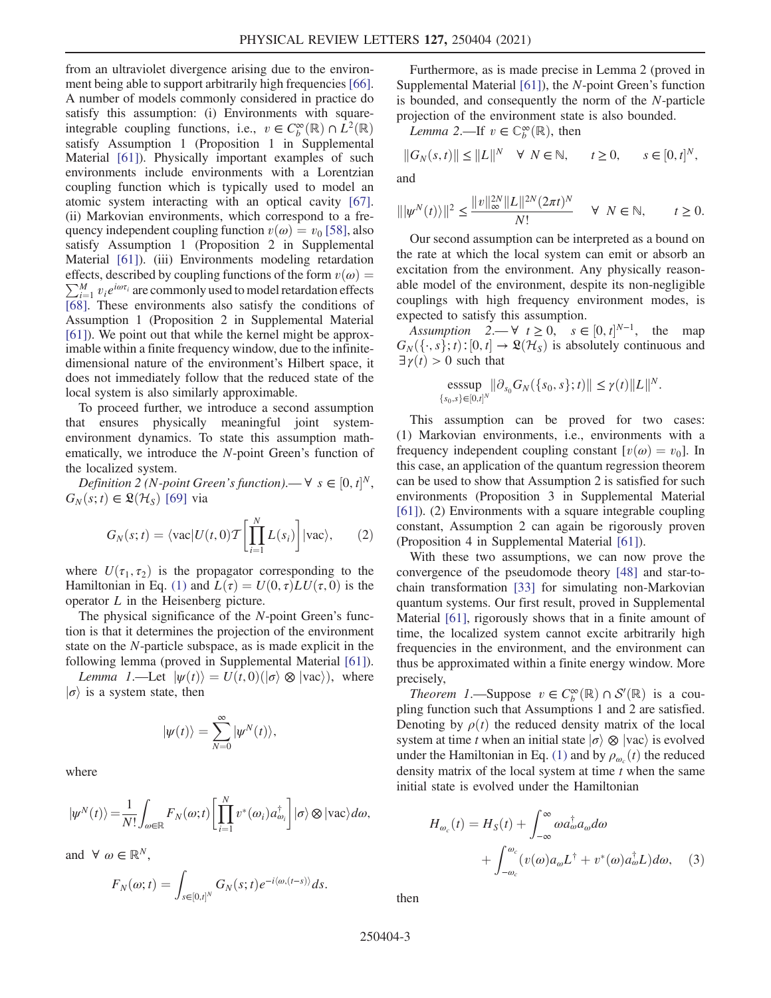from an ultraviolet divergence arising due to the environ-ment being able to support arbitrarily high frequencies [[66](#page-6-0)]. A number of models commonly considered in practice do satisfy this assumption: (i) Environments with squareintegrable coupling functions, i.e.,  $v \in C_b^{\infty}(\mathbb{R}) \cap L^2(\mathbb{R})$ <br>satisfy Assumption 1 (Proposition 1 in Supplemental satisfy Assumption 1 (Proposition 1 in Supplemental Material [\[61\]](#page-5-23)). Physically important examples of such environments include environments with a Lorentzian coupling function which is typically used to model an atomic system interacting with an optical cavity [[67](#page-6-1)]. (ii) Markovian environments, which correspond to a frequency independent coupling function  $v(\omega) = v_0$  [[58](#page-5-20)], also satisfy Assumption 1 (Proposition 2 in Supplemental Material [\[61\]](#page-5-23)). (iii) Environments modeling retardation  $\sum_{i=1}^{M} v_i e^{i\omega \tau_i}$  are commonly used to model retardation effects effects, described by coupling functions of the form  $v(\omega) =$ [\[68\]](#page-6-2). These environments also satisfy the conditions of Assumption 1 (Proposition 2 in Supplemental Material [\[61\]](#page-5-23)). We point out that while the kernel might be approximable within a finite frequency window, due to the infinitedimensional nature of the environment's Hilbert space, it does not immediately follow that the reduced state of the local system is also similarly approximable.

To proceed further, we introduce a second assumption that ensures physically meaningful joint systemenvironment dynamics. To state this assumption mathematically, we introduce the N-point Green's function of the localized system.

Definition 2 (N-point Green's function).—  $\forall s \in [0, t]^N$ ,<br>  $\forall (s, t) \in \mathbb{R}(\mathcal{H}_s)$  [69] via  $G_N(s;t) \in \mathfrak{L}(\mathcal{H}_S)$  [[69](#page-6-3)] via

$$
G_N(s;t) = \langle \text{vac} | U(t,0) \mathcal{T} \left[ \prod_{i=1}^N L(s_i) \right] | \text{vac} \rangle, \qquad (2)
$$

where  $U(\tau_1, \tau_2)$  is the propagator corresponding to the Hamiltonian in Eq. [\(1\)](#page-1-0) and  $L(\tau) = U(0, \tau) L U(\tau, 0)$  is the operator  $L$  in the Heisenberg picture.

The physical significance of the N-point Green's function is that it determines the projection of the environment state on the N-particle subspace, as is made explicit in the following lemma (proved in Supplemental Material [\[61\]](#page-5-23)).

Lemma 1.—Let  $|\psi(t)\rangle = U(t,0)(|\sigma\rangle \otimes |\text{vac}\rangle)$ , where  $\ket{\sigma}$  is a system state, then

$$
|\psi(t)\rangle = \sum_{N=0}^{\infty} |\psi^N(t)\rangle,
$$

where

$$
|\psi^N(t)\rangle = \frac{1}{N!} \int_{\omega \in \mathbb{R}} F_N(\omega; t) \left[ \prod_{i=1}^N v^*(\omega_i) a_{\omega_i}^\dagger \right] |\sigma\rangle \otimes |\text{vac}\rangle d\omega,
$$

and  $\forall \omega \in \mathbb{R}^N$ ,

$$
F_N(\omega;t)=\int_{s\in[0,t]^N}G_N(s;t)e^{-i\langle\omega,(t-s)\rangle}ds.
$$

Furthermore, as is made precise in Lemma 2 (proved in Supplemental Material [\[61\]](#page-5-23)), the N-point Green's function is bounded, and consequently the norm of the N-particle projection of the environment state is also bounded.

*Lemma* 2.—If  $v \in \mathbb{C}_b^{\infty}(\mathbb{R})$ , then

$$
||G_N(s,t)|| \le ||L||^N \quad \forall \ N \in \mathbb{N}, \qquad t \ge 0, \qquad s \in [0,t]^N,
$$

and

$$
\| |\psi^N(t)\rangle \|^2 \le \frac{\|v\|_{\infty}^{2N} \|L\|^{2N} (2\pi t)^N}{N!} \quad \forall \ N \in \mathbb{N}, \qquad t \ge 0.
$$

Our second assumption can be interpreted as a bound on the rate at which the local system can emit or absorb an excitation from the environment. Any physically reasonable model of the environment, despite its non-negligible couplings with high frequency environment modes, is expected to satisfy this assumption.

Assumption  $2 \rightarrow \forall t \geq 0$ ,  $s \in [0, t]^{N-1}$ , the map  $\exists (s, s) : [0, t] \rightarrow \Re(\mathcal{H}_s)$  is absolutely continuous and  $G_N(\lbrace \cdot, s \rbrace; t)$ : [0, t]  $\rightarrow \mathfrak{L}(\mathcal{H}_S)$  is absolutely continuous and  $\exists \gamma(t) > 0$  such that

$$
\underset{\{s_0,s\} \in [0,t]^N}{\text{esssup}} \|\partial_{s_0} G_N(\{s_0,s\};t)\| \leq \gamma(t) \|L\|^N.
$$

This assumption can be proved for two cases: (1) Markovian environments, i.e., environments with a frequency independent coupling constant  $[v(\omega) = v_0]$ . In this case, an application of the quantum regression theorem can be used to show that Assumption 2 is satisfied for such environments (Proposition 3 in Supplemental Material [\[61\]](#page-5-23)). (2) Environments with a square integrable coupling constant, Assumption 2 can again be rigorously proven (Proposition 4 in Supplemental Material [\[61\]](#page-5-23)).

With these two assumptions, we can now prove the convergence of the pseudomode theory [[48](#page-5-12)] and star-tochain transformation [\[33\]](#page-5-14) for simulating non-Markovian quantum systems. Our first result, proved in Supplemental Material [[61](#page-5-23)], rigorously shows that in a finite amount of time, the localized system cannot excite arbitrarily high frequencies in the environment, and the environment can thus be approximated within a finite energy window. More precisely,

Theorem 1.—Suppose  $v \in C_{\mathcal{D}}^{\infty}(\mathbb{R}) \cap \mathcal{S}'(\mathbb{R})$  is a cou-<br>no function such that Assumptions 1 and 2 are satisfied pling function such that Assumptions 1 and 2 are satisfied. Denoting by  $\rho(t)$  the reduced density matrix of the local system at time t when an initial state  $\ket{\sigma} \otimes \ket{\text{vac}}$  is evolved under the Hamiltonian in Eq. [\(1\)](#page-1-0) and by  $\rho_{\omega_c}(t)$  the reduced<br>density matrix of the local system at time t when the same density matrix of the local system at time  $t$  when the same initial state is evolved under the Hamiltonian

$$
H_{\omega_c}(t) = H_S(t) + \int_{-\infty}^{\infty} \omega a_{\omega}^{\dagger} a_{\omega} d\omega + \int_{-\omega_c}^{\omega_c} (v(\omega) a_{\omega} L^{\dagger} + v^*(\omega) a_{\omega}^{\dagger} L) d\omega, \quad (3)
$$

then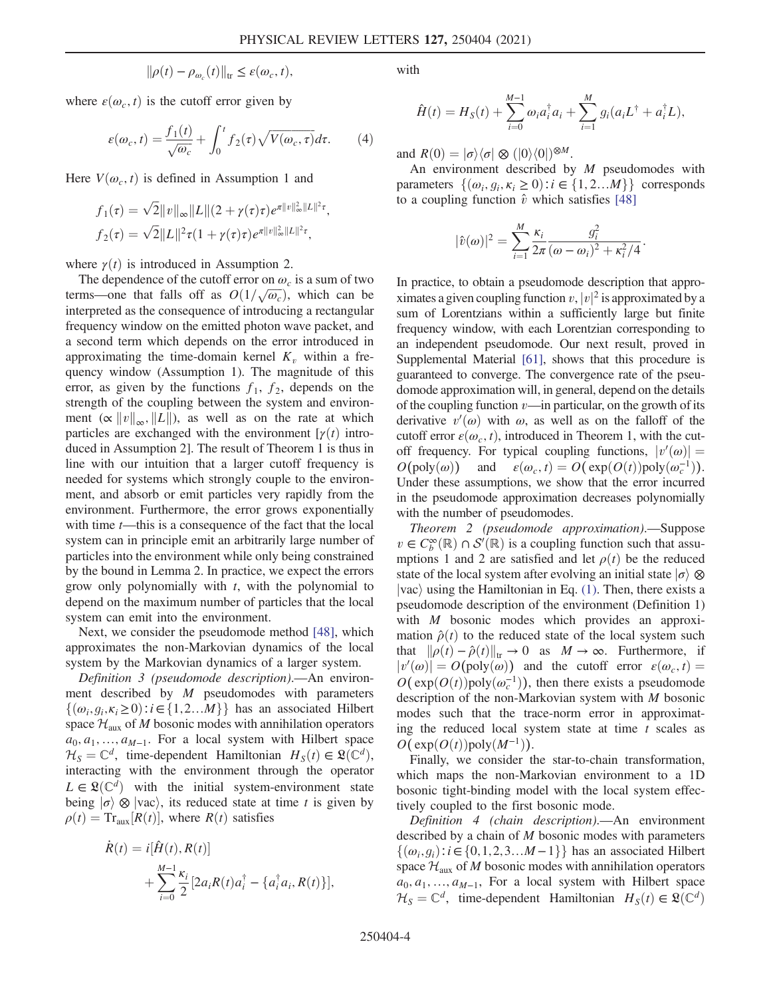$$
\|\rho(t) - \rho_{\omega_c}(t)\|_{\text{tr}} \leq \varepsilon(\omega_c, t),
$$

where  $\varepsilon(\omega_c, t)$  is the cutoff error given by

$$
\varepsilon(\omega_c, t) = \frac{f_1(t)}{\sqrt{\omega_c}} + \int_0^t f_2(\tau) \sqrt{V(\omega_c, \tau)} d\tau.
$$
 (4)

Here  $V(\omega_c, t)$  is defined in Assumption 1 and

$$
f_1(\tau) = \sqrt{2} ||v||_{\infty} ||L|| (2 + \gamma(\tau)\tau) e^{\pi ||v||_{\infty}^2 ||L||^2 \tau},
$$
  

$$
f_2(\tau) = \sqrt{2} ||L||^2 \tau (1 + \gamma(\tau)\tau) e^{\pi ||v||_{\infty}^2 ||L||^2 \tau},
$$

where  $\gamma(t)$  is introduced in Assumption 2.

The dependence of the cutoff error on  $\omega_c$  is a sum of two terms—one that falls off as  $O(1/\sqrt{\omega_c})$ , which can be<br>interpreted as the consequence of introducing a rectangular interpreted as the consequence of introducing a rectangular frequency window on the emitted photon wave packet, and a second term which depends on the error introduced in approximating the time-domain kernel  $K<sub>v</sub>$  within a frequency window (Assumption 1). The magnitude of this error, as given by the functions  $f_1$ ,  $f_2$ , depends on the strength of the coupling between the system and environment ( $\alpha ||v||_{\infty}$ ,  $||L||$ ), as well as on the rate at which particles are exchanged with the environment  $[\gamma(t)]$  introduced in Assumption 2]. The result of Theorem 1 is thus in line with our intuition that a larger cutoff frequency is needed for systems which strongly couple to the environment, and absorb or emit particles very rapidly from the environment. Furthermore, the error grows exponentially with time  $t$ —this is a consequence of the fact that the local system can in principle emit an arbitrarily large number of particles into the environment while only being constrained by the bound in Lemma 2. In practice, we expect the errors grow only polynomially with  $t$ , with the polynomial to depend on the maximum number of particles that the local system can emit into the environment.

Next, we consider the pseudomode method [[48](#page-5-12)], which approximates the non-Markovian dynamics of the local system by the Markovian dynamics of a larger system.

Definition 3 (pseudomode description).—An environment described by  $M$  pseudomodes with parameters  $\{(\omega_i, g_i, \kappa_i \geq 0): i \in \{1, 2, \ldots M\}\}\$  has an associated Hilbert space  $\mathcal{H}_{\text{aux}}$  of M bosonic modes with annihilation operators  $a_0, a_1, \ldots, a_{M-1}$ . For a local system with Hilbert space  $\mathcal{H}_S = \mathbb{C}^d$ , time-dependent Hamiltonian  $H_S(t) \in \mathfrak{L}(\mathbb{C}^d)$ , interacting with the environment through the operator  $L \in \mathfrak{L}(\mathbb{C}^d)$  with the initial system-environment state being  $\ket{\sigma} \otimes \ket{\text{vac}}$ , its reduced state at time t is given by  $\rho(t) = \text{Tr}_{\text{aux}}[R(t)]$ , where  $R(t)$  satisfies

$$
\dot{R}(t) = i[\hat{H}(t), R(t)] \n+ \sum_{i=0}^{M-1} \frac{\kappa_i}{2} [2a_i R(t) a_i^{\dagger} - \{a_i^{\dagger} a_i, R(t)\}],
$$

with

$$
\hat{H}(t) = H_S(t) + \sum_{i=0}^{M-1} \omega_i a_i^{\dagger} a_i + \sum_{i=1}^{M} g_i (a_i L^{\dagger} + a_i^{\dagger} L),
$$

and  $R(0) = |\sigma\rangle\langle\sigma| \otimes (|0\rangle\langle0|)^{\otimes M}$ .

An environment described by M pseudomodes with parameters  $\{(\omega_i, q_i, \kappa_i \geq 0): i \in \{1, 2, \ldots M\}\}\)$  corresponds to a coupling function  $\hat{v}$  which satisfies [[48](#page-5-12)]

$$
|\hat{v}(\omega)|^2 = \sum_{i=1}^M \frac{\kappa_i}{2\pi} \frac{g_i^2}{(\omega - \omega_i)^2 + \kappa_i^2/4}.
$$

In practice, to obtain a pseudomode description that approximates a given coupling function  $v, |v|^2$  is approximated by a<br>sum of Lorentzians, within a sufficiently large but finite sum of Lorentzians within a sufficiently large but finite frequency window, with each Lorentzian corresponding to an independent pseudomode. Our next result, proved in Supplemental Material [[61](#page-5-23)], shows that this procedure is guaranteed to converge. The convergence rate of the pseudomode approximation will, in general, depend on the details of the coupling function  $v$ —in particular, on the growth of its derivative  $v'(\omega)$  with  $\omega$ , as well as on the falloff of the cut-<br>cutoff error  $\varepsilon(\omega, t)$  introduced in Theorem 1 with the cutcutoff error  $\varepsilon(\omega_c, t)$ , introduced in Theorem 1, with the cutoff frequency. For typical coupling functions,  $|v'(\omega)| = O(\text{poly}(\omega))$  and  $c(\omega, t) = O(\text{exp}(O(t)) \text{poly}(\omega^{-1}))$  $O(poly(\omega))$  and  $\varepsilon(\omega_c, t) = O(\exp(O(t))poly(\omega_c^{-1}))$ .<br>Under these assumptions we show that the error incurred Under these assumptions, we show that the error incurred in the pseudomode approximation decreases polynomially with the number of pseudomodes.

Theorem 2 (pseudomode approximation).—Suppose  $v \in C_b^{\infty}(\mathbb{R}) \cap \mathcal{S}'(\mathbb{R})$  is a coupling function such that assumptions 1 and 2 are satisfied and let  $\rho(t)$  be the reduced mptions 1 and 2 are satisfied and let  $\rho(t)$  be the reduced state of the local system after evolving an initial state  $\ket{\sigma} \otimes$  $|vac\rangle$  using the Hamiltonian in Eq. [\(1\).](#page-1-0) Then, there exists a pseudomode description of the environment (Definition 1) with *M* bosonic modes which provides an approximation  $\hat{\rho}(t)$  to the reduced state of the local system such that  $\|\rho(t) - \hat{\rho}(t)\|_{tr} \to 0$  as  $M \to \infty$ . Furthermore, if  $|v'(\omega)| = O(\text{poly}(\omega))$  and the cutoff error  $\varepsilon(\omega_c, t) = O(\exp(O(t))\text{poly}(\omega^{-1}))$  then there exists a pseudomode  $O(\exp(O(t))\text{poly}(\omega_c^{-1}))$ , then there exists a pseudomode<br>description of the non-Markovian system with M bosonic description of the non-Markovian system with M bosonic modes such that the trace-norm error in approximating the reduced local system state at time  $t$  scales as  $O(\exp(O(t))$ poly $(M^{-1})$ .

Finally, we consider the star-to-chain transformation, which maps the non-Markovian environment to a 1D bosonic tight-binding model with the local system effectively coupled to the first bosonic mode.

Definition 4 (chain description).—An environment described by a chain of M bosonic modes with parameters  $\{(\omega_i, g_i): i \in \{0, 1, 2, 3, \ldots M-1\}\}\$  has an associated Hilbert space  $\mathcal{H}_{\text{aux}}$  of M bosonic modes with annihilation operators  $a_0, a_1, \ldots, a_{M-1}$ , For a local system with Hilbert space  $\mathcal{H}_S = \mathbb{C}^d$ , time-dependent Hamiltonian  $H_S(t) \in \mathfrak{L}(\mathbb{C}^d)$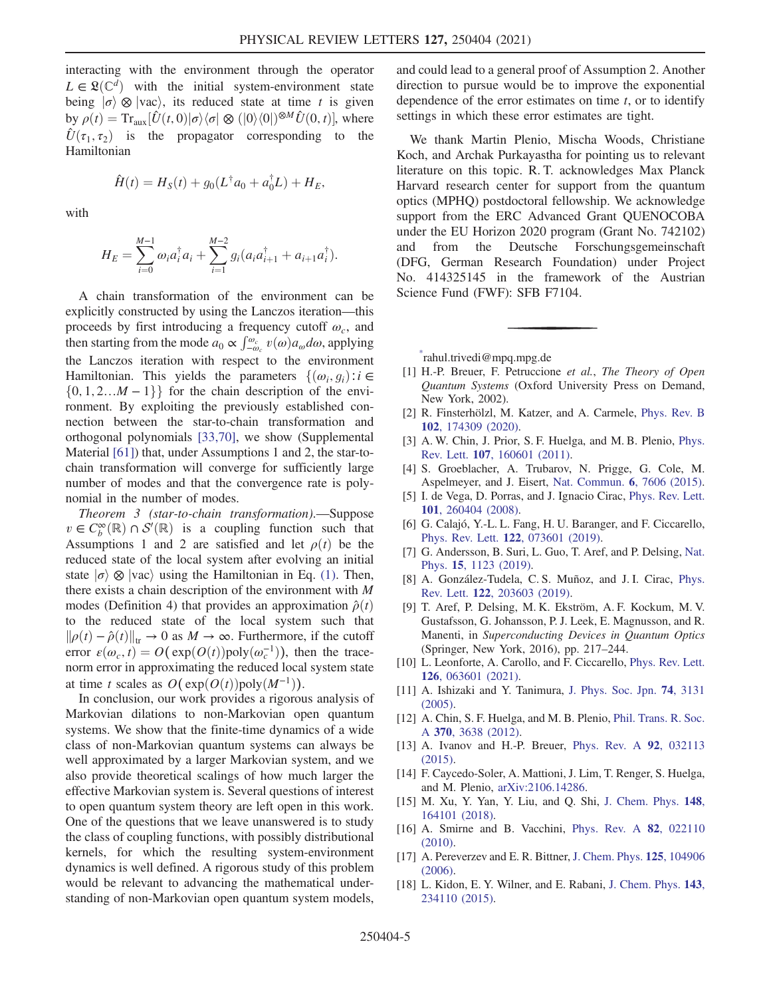interacting with the environment through the operator  $L \in \mathfrak{L}(\mathbb{C}^d)$  with the initial system-environment state being  $\ket{\sigma} \otimes \ket{\text{vac}}$ , its reduced state at time t is given by  $\rho(t) = \text{Tr}_{\text{aux}}[\hat{U}(t,0)|\sigma\rangle\langle\sigma|\otimes (|0\rangle\langle 0|)^{\otimes M}\hat{U}(0,t)],$  where  $\hat{U}(\tau_1, \tau_2)$  is the propagator corresponding to the Hamiltonian

$$
\hat{H}(t) = H_S(t) + g_0(L^{\dagger} a_0 + a_0^{\dagger} L) + H_E,
$$

with

$$
H_E = \sum_{i=0}^{M-1} \omega_i a_i^{\dagger} a_i + \sum_{i=1}^{M-2} g_i (a_i a_{i+1}^{\dagger} + a_{i+1} a_i^{\dagger}).
$$

A chain transformation of the environment can be explicitly constructed by using the Lanczos iteration—this proceeds by first introducing a frequency cutoff  $\omega_c$ , and then starting from the mode  $a_0 \propto \int_{-\omega_c}^{\omega_c} v(\omega) a_{\omega} d\omega$ , applying<br>the Language iteration, with groupest to the equipment the Lanczos iteration with respect to the environment Hamiltonian. This yields the parameters  $\{(\omega_i, g_i): i \in$  $\{0, 1, 2...M - 1\}$  for the chain description of the environment. By exploiting the previously established connection between the star-to-chain transformation and orthogonal polynomials [\[33](#page-5-14)[,70\]](#page-6-4), we show (Supplemental Material [[61](#page-5-23)]) that, under Assumptions 1 and 2, the star-tochain transformation will converge for sufficiently large number of modes and that the convergence rate is polynomial in the number of modes.

Theorem 3 (star-to-chain transformation).—Suppose  $v \in C^{\infty}_{b}(\mathbb{R}) \cap S'(\mathbb{R})$  is a coupling function such that  $\Delta$  securitions 1 and 2 are satisfied and let  $o(t)$  be the Assumptions 1 and 2 are satisfied and let  $\rho(t)$  be the reduced state of the local system after evolving an initial state  $|\sigma\rangle \otimes |\text{vac}\rangle$  using the Hamiltonian in Eq. [\(1\).](#page-1-0) Then, there exists a chain description of the environment with M modes (Definition 4) that provides an approximation  $\hat{\rho}(t)$ to the reduced state of the local system such that  $\|\rho(t) - \hat{\rho}(t)\|_{tr} \to 0$  as  $M \to \infty$ . Furthermore, if the cutoff error  $\varepsilon(\omega_c, t) = O(\exp(O(t))\text{poly}(\omega_c^{-1}))$ , then the trace-<br>norm error in approximating the reduced local system state norm error in approximating the reduced local system state at time t scales as  $O(\exp(O(t))\text{poly}(M^{-1}))$ .

In conclusion, our work provides a rigorous analysis of Markovian dilations to non-Markovian open quantum systems. We show that the finite-time dynamics of a wide class of non-Markovian quantum systems can always be well approximated by a larger Markovian system, and we also provide theoretical scalings of how much larger the effective Markovian system is. Several questions of interest to open quantum system theory are left open in this work. One of the questions that we leave unanswered is to study the class of coupling functions, with possibly distributional kernels, for which the resulting system-environment dynamics is well defined. A rigorous study of this problem would be relevant to advancing the mathematical understanding of non-Markovian open quantum system models, and could lead to a general proof of Assumption 2. Another direction to pursue would be to improve the exponential dependence of the error estimates on time  $t$ , or to identify settings in which these error estimates are tight.

We thank Martin Plenio, Mischa Woods, Christiane Koch, and Archak Purkayastha for pointing us to relevant literature on this topic. R. T. acknowledges Max Planck Harvard research center for support from the quantum optics (MPHQ) postdoctoral fellowship. We acknowledge support from the ERC Advanced Grant QUENOCOBA under the EU Horizon 2020 program (Grant No. 742102) and from the Deutsche Forschungsgemeinschaft (DFG, German Research Foundation) under Project No. 414325145 in the framework of the Austrian Science Fund (FWF): SFB F7104.

<span id="page-4-0"></span>[\\*](#page-0-0) rahul.trivedi@mpq.mpg.de

- <span id="page-4-2"></span><span id="page-4-1"></span>[1] H.-P. Breuer, F. Petruccione et al., The Theory of Open Quantum Systems (Oxford University Press on Demand, New York, 2002).
- [2] R. Finsterhölzl, M. Katzer, and A. Carmele, [Phys. Rev. B](https://doi.org/10.1103/PhysRevB.102.174309) 102[, 174309 \(2020\).](https://doi.org/10.1103/PhysRevB.102.174309)
- [3] A. W. Chin, J. Prior, S. F. Huelga, and M. B. Plenio, [Phys.](https://doi.org/10.1103/PhysRevLett.107.160601) Rev. Lett. 107[, 160601 \(2011\).](https://doi.org/10.1103/PhysRevLett.107.160601)
- <span id="page-4-3"></span>[4] S. Groeblacher, A. Trubarov, N. Prigge, G. Cole, M. Aspelmeyer, and J. Eisert, [Nat. Commun.](https://doi.org/10.1038/ncomms8606) 6, 7606 (2015).
- <span id="page-4-4"></span>[5] I. de Vega, D. Porras, and J. Ignacio Cirac, [Phys. Rev. Lett.](https://doi.org/10.1103/PhysRevLett.101.260404) 101[, 260404 \(2008\).](https://doi.org/10.1103/PhysRevLett.101.260404)
- [6] G. Calajó, Y.-L. L. Fang, H. U. Baranger, and F. Ciccarello, Phys. Rev. Lett. 122[, 073601 \(2019\).](https://doi.org/10.1103/PhysRevLett.122.073601)
- [7] G. Andersson, B. Suri, L. Guo, T. Aref, and P. Delsing, [Nat.](https://doi.org/10.1038/s41567-019-0605-6) Phys. 15[, 1123 \(2019\).](https://doi.org/10.1038/s41567-019-0605-6)
- [8] A. González-Tudela, C. S. Muñoz, and J. I. Cirac, [Phys.](https://doi.org/10.1103/PhysRevLett.122.203603) Rev. Lett. 122[, 203603 \(2019\).](https://doi.org/10.1103/PhysRevLett.122.203603)
- [9] T. Aref, P. Delsing, M. K. Ekström, A. F. Kockum, M. V. Gustafsson, G. Johansson, P. J. Leek, E. Magnusson, and R. Manenti, in Superconducting Devices in Quantum Optics (Springer, New York, 2016), pp. 217–244.
- <span id="page-4-6"></span><span id="page-4-5"></span>[10] L. Leonforte, A. Carollo, and F. Ciccarello, [Phys. Rev. Lett.](https://doi.org/10.1103/PhysRevLett.126.063601) 126[, 063601 \(2021\).](https://doi.org/10.1103/PhysRevLett.126.063601)
- [11] A. Ishizaki and Y. Tanimura, [J. Phys. Soc. Jpn.](https://doi.org/10.1143/JPSJ.74.3131) **74**, 3131 [\(2005\).](https://doi.org/10.1143/JPSJ.74.3131)
- <span id="page-4-8"></span>[12] A. Chin, S. F. Huelga, and M. B. Plenio, [Phil. Trans. R. Soc.](https://doi.org/10.1098/rsta.2011.0224) A 370[, 3638 \(2012\)](https://doi.org/10.1098/rsta.2011.0224).
- <span id="page-4-7"></span>[13] A. Ivanov and H.-P. Breuer, [Phys. Rev. A](https://doi.org/10.1103/PhysRevA.92.032113) 92, 032113 [\(2015\).](https://doi.org/10.1103/PhysRevA.92.032113)
- <span id="page-4-9"></span>[14] F. Caycedo-Soler, A. Mattioni, J. Lim, T. Renger, S. Huelga, and M. Plenio, [arXiv:2106.14286.](https://arXiv.org/abs/2106.14286)
- <span id="page-4-10"></span>[15] M. Xu, Y. Yan, Y. Liu, and Q. Shi, [J. Chem. Phys.](https://doi.org/10.1063/1.5022761) **148**, [164101 \(2018\).](https://doi.org/10.1063/1.5022761)
- [16] A. Smirne and B. Vacchini, [Phys. Rev. A](https://doi.org/10.1103/PhysRevA.82.022110) **82**, 022110 [\(2010\).](https://doi.org/10.1103/PhysRevA.82.022110)
- <span id="page-4-11"></span>[17] A. Pereverzev and E. R. Bittner, [J. Chem. Phys.](https://doi.org/10.1063/1.2348869) 125, 104906 [\(2006\).](https://doi.org/10.1063/1.2348869)
- [18] L. Kidon, E. Y. Wilner, and E. Rabani, [J. Chem. Phys.](https://doi.org/10.1063/1.4937396) **143**, [234110 \(2015\).](https://doi.org/10.1063/1.4937396)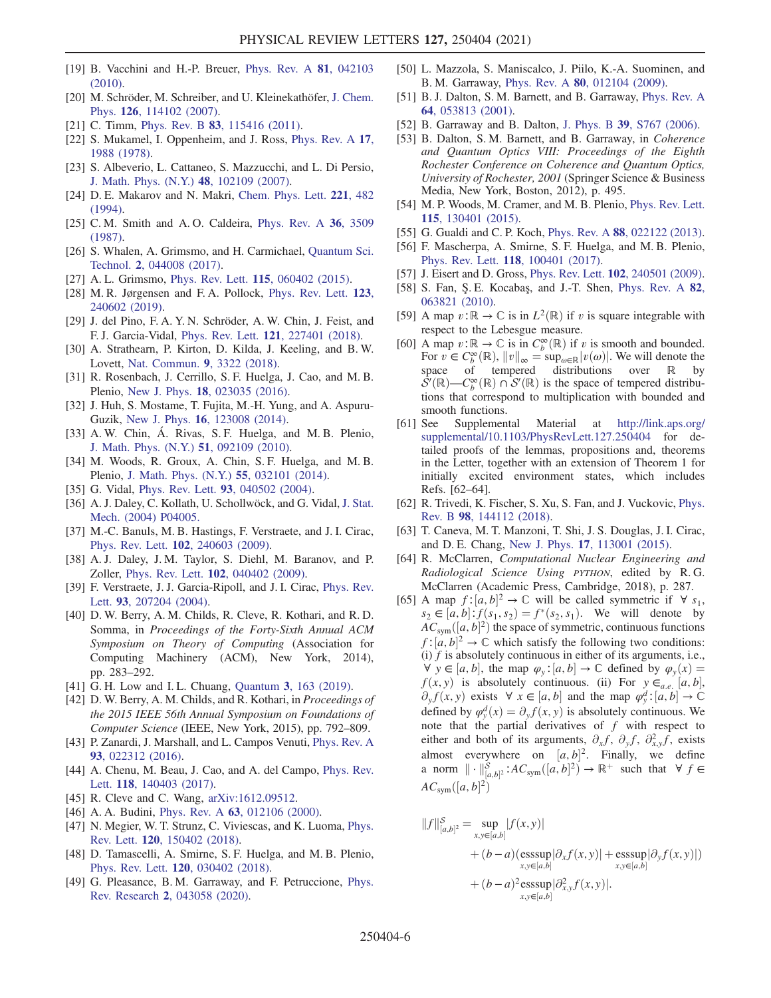- <span id="page-5-0"></span>[19] B. Vacchini and H.-P. Breuer, *[Phys. Rev. A](https://doi.org/10.1103/PhysRevA.81.042103)* **81**, 042103 [\(2010\).](https://doi.org/10.1103/PhysRevA.81.042103)
- [20] M. Schröder, M. Schreiber, and U. Kleinekathöfer, [J. Chem.](https://doi.org/10.1063/1.2538754) Phys. 126[, 114102 \(2007\).](https://doi.org/10.1063/1.2538754)
- [21] C. Timm, Phys. Rev. B **83**[, 115416 \(2011\)](https://doi.org/10.1103/PhysRevB.83.115416).
- <span id="page-5-1"></span>[22] S. Mukamel, I. Oppenheim, and J. Ross, [Phys. Rev. A](https://doi.org/10.1103/PhysRevA.17.1988) 17, [1988 \(1978\)](https://doi.org/10.1103/PhysRevA.17.1988).
- <span id="page-5-2"></span>[23] S. Albeverio, L. Cattaneo, S. Mazzucchi, and L. Di Persio, [J. Math. Phys. \(N.Y.\)](https://doi.org/10.1063/1.2799881) 48, 102109 (2007).
- [24] D. E. Makarov and N. Makri, [Chem. Phys. Lett.](https://doi.org/10.1016/0009-2614(94)00275-4) 221, 482 [\(1994\).](https://doi.org/10.1016/0009-2614(94)00275-4)
- [25] C. M. Smith and A. O. Caldeira, [Phys. Rev. A](https://doi.org/10.1103/PhysRevA.36.3509) 36, 3509 [\(1987\).](https://doi.org/10.1103/PhysRevA.36.3509)
- [26] S. Whalen, A. Grimsmo, and H. Carmichael, [Quantum Sci.](https://doi.org/10.1088/2058-9565/aa8331) Technol. 2[, 044008 \(2017\)](https://doi.org/10.1088/2058-9565/aa8331).
- [27] A. L. Grimsmo, Phys. Rev. Lett. **115**[, 060402 \(2015\).](https://doi.org/10.1103/PhysRevLett.115.060402)
- [28] M. R. Jørgensen and F. A. Pollock, [Phys. Rev. Lett.](https://doi.org/10.1103/PhysRevLett.123.240602) 123, [240602 \(2019\).](https://doi.org/10.1103/PhysRevLett.123.240602)
- [29] J. del Pino, F. A. Y. N. Schröder, A. W. Chin, J. Feist, and F. J. Garcia-Vidal, Phys. Rev. Lett. 121[, 227401 \(2018\)](https://doi.org/10.1103/PhysRevLett.121.227401).
- [30] A. Strathearn, P. Kirton, D. Kilda, J. Keeling, and B. W. Lovett, [Nat. Commun.](https://doi.org/10.1038/s41467-018-05617-3) 9, 3322 (2018).
- <span id="page-5-3"></span>[31] R. Rosenbach, J. Cerrillo, S. F. Huelga, J. Cao, and M. B. Plenio, New J. Phys. 18[, 023035 \(2016\)](https://doi.org/10.1088/1367-2630/18/2/023035).
- <span id="page-5-4"></span>[32] J. Huh, S. Mostame, T. Fujita, M.-H. Yung, and A. Aspuru-Guzik, New J. Phys. 16[, 123008 \(2014\)](https://doi.org/10.1088/1367-2630/16/12/123008).
- <span id="page-5-14"></span>[33] A. W. Chin, Á. Rivas, S. F. Huelga, and M. B. Plenio, [J. Math. Phys. \(N.Y.\)](https://doi.org/10.1063/1.3490188) 51, 092109 (2010).
- <span id="page-5-5"></span>[34] M. Woods, R. Groux, A. Chin, S. F. Huelga, and M. B. Plenio, [J. Math. Phys. \(N.Y.\)](https://doi.org/10.1063/1.4866769) 55, 032101 (2014).
- <span id="page-5-6"></span>[35] G. Vidal, Phys. Rev. Lett. 93[, 040502 \(2004\).](https://doi.org/10.1103/PhysRevLett.93.040502)
- [36] A. J. Daley, C. Kollath, U. Schollwöck, and G. Vidal, [J. Stat.](https://doi.org/10.1088/1742-5468/2004/04/P04005) [Mech. \(2004\) P04005.](https://doi.org/10.1088/1742-5468/2004/04/P04005)
- [37] M.-C. Banuls, M. B. Hastings, F. Verstraete, and J. I. Cirac, Phys. Rev. Lett. 102[, 240603 \(2009\).](https://doi.org/10.1103/PhysRevLett.102.240603)
- [38] A. J. Daley, J. M. Taylor, S. Diehl, M. Baranov, and P. Zoller, Phys. Rev. Lett. 102[, 040402 \(2009\)](https://doi.org/10.1103/PhysRevLett.102.040402).
- <span id="page-5-7"></span>[39] F. Verstraete, J. J. Garcia-Ripoll, and J. I. Cirac, [Phys. Rev.](https://doi.org/10.1103/PhysRevLett.93.207204) Lett. 93[, 207204 \(2004\).](https://doi.org/10.1103/PhysRevLett.93.207204)
- <span id="page-5-8"></span>[40] D. W. Berry, A. M. Childs, R. Cleve, R. Kothari, and R. D. Somma, in Proceedings of the Forty-Sixth Annual ACM Symposium on Theory of Computing (Association for Computing Machinery (ACM), New York, 2014), pp. 283–292.
- [41] G. H. Low and I. L. Chuang, Quantum 3[, 163 \(2019\).](https://doi.org/10.22331/q-2019-07-12-163)
- [42] D. W. Berry, A. M. Childs, and R. Kothari, in Proceedings of the 2015 IEEE 56th Annual Symposium on Foundations of Computer Science (IEEE, New York, 2015), pp. 792–809.
- [43] P. Zanardi, J. Marshall, and L. Campos Venuti, [Phys. Rev. A](https://doi.org/10.1103/PhysRevA.93.022312) 93[, 022312 \(2016\).](https://doi.org/10.1103/PhysRevA.93.022312)
- [44] A. Chenu, M. Beau, J. Cao, and A. del Campo, [Phys. Rev.](https://doi.org/10.1103/PhysRevLett.118.140403) Lett. 118[, 140403 \(2017\)](https://doi.org/10.1103/PhysRevLett.118.140403).
- <span id="page-5-10"></span><span id="page-5-9"></span>[45] R. Cleve and C. Wang, [arXiv:1612.09512](https://arXiv.org/abs/1612.09512).
- <span id="page-5-11"></span>[46] A. A. Budini, *Phys. Rev. A* **63**[, 012106 \(2000\).](https://doi.org/10.1103/PhysRevA.63.012106)
- <span id="page-5-12"></span>[47] N. Megier, W. T. Strunz, C. Viviescas, and K. Luoma, [Phys.](https://doi.org/10.1103/PhysRevLett.120.150402) Rev. Lett. 120[, 150402 \(2018\).](https://doi.org/10.1103/PhysRevLett.120.150402)
- <span id="page-5-15"></span>[48] D. Tamascelli, A. Smirne, S. F. Huelga, and M. B. Plenio, Phys. Rev. Lett. 120[, 030402 \(2018\).](https://doi.org/10.1103/PhysRevLett.120.030402)
- [49] G. Pleasance, B. M. Garraway, and F. Petruccione, [Phys.](https://doi.org/10.1103/PhysRevResearch.2.043058) Rev. Research 2[, 043058 \(2020\)](https://doi.org/10.1103/PhysRevResearch.2.043058).
- [50] L. Mazzola, S. Maniscalco, J. Piilo, K.-A. Suominen, and B. M. Garraway, Phys. Rev. A 80[, 012104 \(2009\)](https://doi.org/10.1103/PhysRevA.80.012104).
- [51] B. J. Dalton, S. M. Barnett, and B. Garraway, [Phys. Rev. A](https://doi.org/10.1103/PhysRevA.64.053813) 64[, 053813 \(2001\).](https://doi.org/10.1103/PhysRevA.64.053813)
- [52] B. Garraway and B. Dalton, J. Phys. B 39[, S767 \(2006\).](https://doi.org/10.1088/0953-4075/39/15/S21)
- <span id="page-5-13"></span>[53] B. Dalton, S. M. Barnett, and B. Garraway, in Coherence and Quantum Optics VIII: Proceedings of the Eighth Rochester Conference on Coherence and Quantum Optics, University of Rochester, 2001 (Springer Science & Business Media, New York, Boston, 2012), p. 495.
- <span id="page-5-16"></span>[54] M. P. Woods, M. Cramer, and M. B. Plenio, [Phys. Rev. Lett.](https://doi.org/10.1103/PhysRevLett.115.130401) 115[, 130401 \(2015\).](https://doi.org/10.1103/PhysRevLett.115.130401)
- <span id="page-5-17"></span>[55] G. Gualdi and C. P. Koch, *Phys. Rev. A* **88**[, 022122 \(2013\).](https://doi.org/10.1103/PhysRevA.88.022122)
- <span id="page-5-18"></span>[56] F. Mascherpa, A. Smirne, S. F. Huelga, and M. B. Plenio, Phys. Rev. Lett. 118[, 100401 \(2017\).](https://doi.org/10.1103/PhysRevLett.118.100401)
- <span id="page-5-19"></span>[57] J. Eisert and D. Gross, *Phys. Rev. Lett.* **102**[, 240501 \(2009\).](https://doi.org/10.1103/PhysRevLett.102.240501)
- <span id="page-5-20"></span>[58] S. Fan, Ş. E. Kocabaş, and J.-T. Shen, [Phys. Rev. A](https://doi.org/10.1103/PhysRevA.82.063821) 82, [063821 \(2010\).](https://doi.org/10.1103/PhysRevA.82.063821)
- <span id="page-5-21"></span>[59] A map  $v:\mathbb{R} \to \mathbb{C}$  is in  $L^2(\mathbb{R})$  if v is square integrable with respect to the Lebesgue measure.
- <span id="page-5-22"></span>[60] A map  $v: \mathbb{R} \to \mathbb{C}$  is in  $C_{b}^{\infty}(\mathbb{R})$  if v is smooth and bounded.<br>For  $v \in C_{b}^{\infty}(\mathbb{R})$   $||v|| = \sup_{x \in \mathbb{R}} |v(\omega)|$  We will denote the For  $v \in C_b^{\infty}(\mathbb{R})$ ,  $||v||_{\infty} = \sup_{\omega \in \mathbb{R}} |v(\omega)|$ . We will denote the space space of tempered distributions over  $\mathbb R$  by  $\overline{S}'(\mathbb{R})$  –  $C_{\nu}^{\infty}(\mathbb{R})$   $\cap$   $\overline{S}'(\mathbb{R})$  is the space of tempered distribu-<br>tions that correspond to multiplication with bounded and tions that correspond to multiplication with bounded and smooth functions.
- <span id="page-5-23"></span>[61] See Supplemental Material at [http://link.aps.org/](http://link.aps.org/supplemental/10.1103/PhysRevLett.127.250404) [supplemental/10.1103/PhysRevLett.127.250404](http://link.aps.org/supplemental/10.1103/PhysRevLett.127.250404) for detailed proofs of the lemmas, propositions and, theorems in the Letter, together with an extension of Theorem 1 for initially excited environment states, which includes Refs. [62–64].
- [62] R. Trivedi, K. Fischer, S. Xu, S. Fan, and J. Vuckovic, [Phys.](https://doi.org/10.1103/PhysRevB.98.144112) Rev. B 98[, 144112 \(2018\).](https://doi.org/10.1103/PhysRevB.98.144112)
- [63] T. Caneva, M. T. Manzoni, T. Shi, J. S. Douglas, J. I. Cirac, and D. E. Chang, New J. Phys. 17[, 113001 \(2015\)](https://doi.org/10.1088/1367-2630/17/11/113001).
- [64] R. McClarren, Computational Nuclear Engineering and Radiological Science Using PYTHON, edited by R.G. McClarren (Academic Press, Cambridge, 2018), p. 287.
- <span id="page-5-24"></span>[65] A map  $f:[a,b]^2 \to \mathbb{C}$  will be called symmetric if  $\forall s_1, s_2 \in [a,b]^+ f(s_1, s_2) = f^*(s_2, s_1)$  We will denote by  $s_2 \in [a, b]$ :  $f(s_1, s_2) = f^*(s_2, s_1)$ . We will denote by<br>AC  $([a, b]^2)$  the space of symmetric continuous functions  $AC_{sym}([a, b]^2)$  the space of symmetric, continuous functions<br> $f: [a, b]^2 \rightarrow \mathbb{C}$  which satisfy the following two conditions:  $f:[a, b]^2 \to \mathbb{C}$  which satisfy the following two conditions:<br>(i) f is absolutely continuous in either of its arguments i.e. (i)  $f$  is absolutely continuous in either of its arguments, i.e.,  $\forall y \in [a, b]$ , the map  $\varphi_{y}: [a, b] \to \mathbb{C}$  defined by  $\varphi_{y}(x) =$  $f(x, y)$  is absolutely continuous. (ii) For  $y \in a.e. [a, b]$ ,  $\partial_y f(x, y)$  exists  $\forall x \in [a, b]$  and the map  $\varphi_y^d : [a, b] \to \mathbb{C}$ <br>defined by  $\varphi_y^d(x) = \partial_x f(x, y)$  is absolutely continuous. We defined by  $\varphi_y^d(x) = \partial_y f(x, y)$  is absolutely continuous. We note that the nartial derivatives of f with respect to note that the partial derivatives of  $f$  with respect to either and both of its arguments,  $\partial_x f$ ,  $\partial_y f$ ,  $\partial_{x,y}^2 f$ , exists almost everywhere on  $[a, b]^2$ . Finally, we define<br>2. norm  $||, ||^2 \rightarrow 4C$   $(|a, b|^2) \rightarrow \mathbb{R}^+$  such that  $\forall f \in$ a norm  $\| \cdot \|_{[a,b]^2}^S$ :  $AC_{sym}([a,b]^2) \to \mathbb{R}^+$  such that  $\forall f \in AC$  $AC_{sym}([a, b]^{2})$ Þ

$$
||f||_{[a,b]^2}^S = \sup_{x,y \in [a,b]} |f(x,y)|
$$
  
+  $(b-a)(\operatorname{esssup}_{x,y \in [a,b]} |\partial_x f(x,y)| + \operatorname{esssup}_{x,y \in [a,b]} |\partial_y f(x,y)|)$   
+  $(b-a)^2 \operatorname{esssup}_{x,y \in [a,b]} |\partial_{x,y}^2 f(x,y)|.$